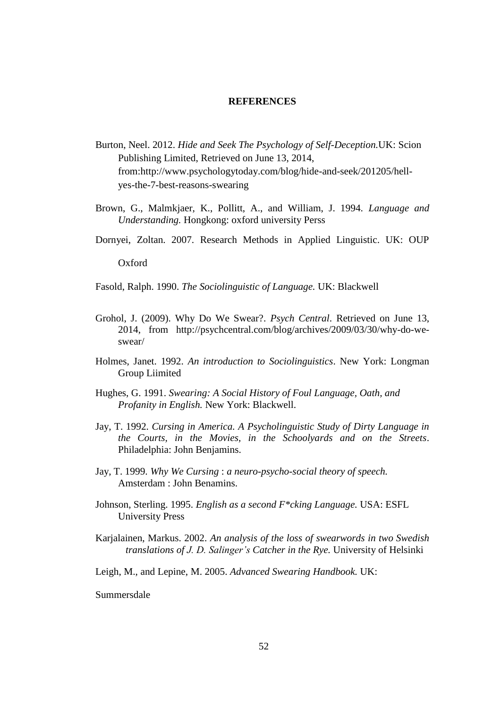## **REFERENCES**

- Burton, Neel. 2012. *Hide and Seek The Psychology of Self-Deception.*UK: Scion Publishing Limited, Retrieved on June 13, 2014, from:http://www.psychologytoday.com/blog/hide-and-seek/201205/hellyes-the-7-best-reasons-swearing
- Brown, G., Malmkjaer, K., Pollitt, A., and William, J. 1994. *Language and Understanding.* Hongkong: oxford university Perss
- Dornyei, Zoltan. 2007. Research Methods in Applied Linguistic. UK: OUP

Oxford

Fasold, Ralph. 1990. *The Sociolinguistic of Language.* UK: Blackwell

- Grohol, J. (2009). Why Do We Swear?. *Psych Central*. Retrieved on June 13, 2014, from http://psychcentral.com/blog/archives/2009/03/30/why-do-weswear/
- Holmes, Janet. 1992. *An introduction to Sociolinguistics*. New York: Longman Group Liimited
- Hughes, G. 1991. *Swearing: A Social History of Foul Language, Oath, and Profanity in English.* New York: Blackwell.
- Jay, T. 1992. *Cursing in America. A Psycholinguistic Study of Dirty Language in the Courts, in the Movies, in the Schoolyards and on the Streets*. Philadelphia: John Benjamins.
- Jay, T. 1999. *Why We Cursing* : *a neuro-psycho-social theory of speech.*  Amsterdam : John Benamins.
- Johnson, Sterling. 1995. *English as a second F\*cking Language.* USA: ESFL University Press
- Karjalainen, Markus. 2002. *An analysis of the loss of swearwords in two Swedish translations of J. D. Salinger's Catcher in the Rye.* University of Helsinki
- Leigh, M., and Lepine, M. 2005. *Advanced Swearing Handbook.* UK:

Summersdale